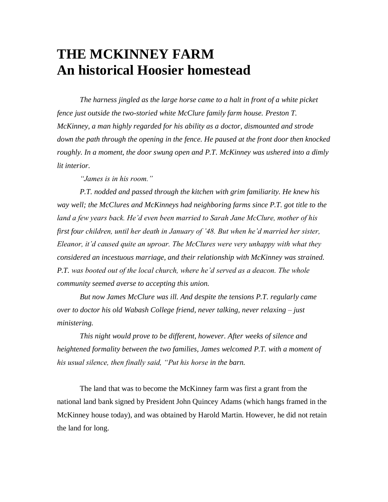## **THE MCKINNEY FARM An historical Hoosier homestead**

*The harness jingled as the large horse came to a halt in front of a white picket fence just outside the two-storied white McClure family farm house. Preston T. McKinney, a man highly regarded for his ability as a doctor, dismounted and strode down the path through the opening in the fence. He paused at the front door then knocked roughly. In a moment, the door swung open and P.T. McKinney was ushered into a dimly lit interior.*

*"James is in his room."*

*P.T. nodded and passed through the kitchen with grim familiarity. He knew his way well; the McClures and McKinneys had neighboring farms since P.T. got title to the land a few years back. He'd even been married to Sarah Jane McClure, mother of his first four children, until her death in January of '48. But when he'd married her sister, Eleanor, it'd caused quite an uproar. The McClures were very unhappy with what they considered an incestuous marriage, and their relationship with McKinney was strained. P.T. was booted out of the local church, where he'd served as a deacon. The whole community seemed averse to accepting this union.* 

*But now James McClure was ill. And despite the tensions P.T. regularly came over to doctor his old Wabash College friend, never talking, never relaxing – just ministering.*

*This night would prove to be different, however. After weeks of silence and heightened formality between the two families, James welcomed P.T. with a moment of his usual silence, then finally said, "Put his horse in the barn.*

The land that was to become the McKinney farm was first a grant from the national land bank signed by President John Quincey Adams (which hangs framed in the McKinney house today), and was obtained by Harold Martin. However, he did not retain the land for long.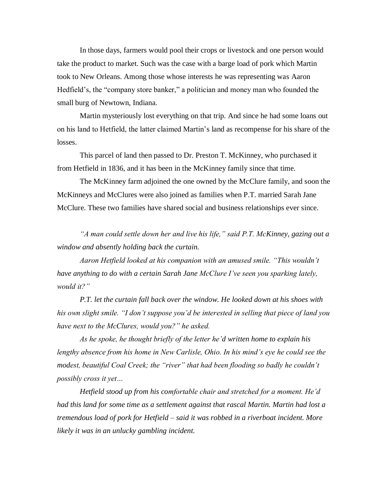In those days, farmers would pool their crops or livestock and one person would take the product to market. Such was the case with a barge load of pork which Martin took to New Orleans. Among those whose interests he was representing was Aaron Hedfield's, the "company store banker," a politician and money man who founded the small burg of Newtown, Indiana.

Martin mysteriously lost everything on that trip. And since he had some loans out on his land to Hetfield, the latter claimed Martin's land as recompense for his share of the losses.

This parcel of land then passed to Dr. Preston T. McKinney, who purchased it from Hetfield in 1836, and it has been in the McKinney family since that time.

The McKinney farm adjoined the one owned by the McClure family, and soon the McKinneys and McClures were also joined as families when P.T. married Sarah Jane McClure. These two families have shared social and business relationships ever since.

*"A man could settle down her and live his life," said P.T. McKinney, gazing out a window and absently holding back the curtain.*

*Aaron Hetfield looked at his companion with an amused smile. "This wouldn't have anything to do with a certain Sarah Jane McClure I've seen you sparking lately, would it?"*

*P.T. let the curtain fall back over the window. He looked down at his shoes with his own slight smile. "I don't suppose you'd be interested in selling that piece of land you have next to the McClures, would you?" he asked.* 

*As he spoke, he thought briefly of the letter he'd written home to explain his lengthy absence from his home in New Carlisle, Ohio. In his mind's eye he could see the modest, beautiful Coal Creek; the "river" that had been flooding so badly he couldn't possibly cross it yet…*

*Hetfield stood up from his comfortable chair and stretched for a moment. He'd had this land for some time as a settlement against that rascal Martin. Martin had lost a tremendous load of pork for Hetfield – said it was robbed in a riverboat incident. More likely it was in an unlucky gambling incident.*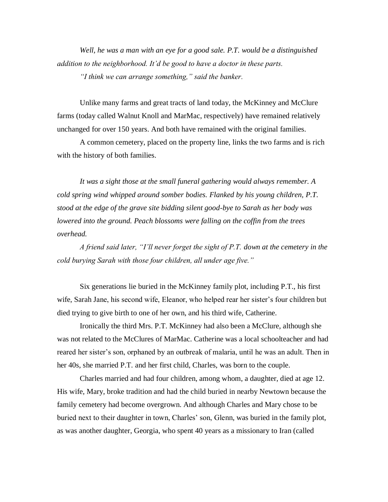*Well, he was a man with an eye for a good sale. P.T. would be a distinguished addition to the neighborhood. It'd be good to have a doctor in these parts. "I think we can arrange something," said the banker.* 

Unlike many farms and great tracts of land today, the McKinney and McClure farms (today called Walnut Knoll and MarMac, respectively) have remained relatively unchanged for over 150 years. And both have remained with the original families.

A common cemetery, placed on the property line, links the two farms and is rich with the history of both families.

*It was a sight those at the small funeral gathering would always remember. A cold spring wind whipped around somber bodies. Flanked by his young children, P.T. stood at the edge of the grave site bidding silent good-bye to Sarah as her body was lowered into the ground. Peach blossoms were falling on the coffin from the trees overhead.*

*A friend said later, "I'll never forget the sight of P.T. down at the cemetery in the cold burying Sarah with those four children, all under age five."*

Six generations lie buried in the McKinney family plot, including P.T., his first wife, Sarah Jane, his second wife, Eleanor, who helped rear her sister's four children but died trying to give birth to one of her own, and his third wife, Catherine.

Ironically the third Mrs. P.T. McKinney had also been a McClure, although she was not related to the McClures of MarMac. Catherine was a local schoolteacher and had reared her sister's son, orphaned by an outbreak of malaria, until he was an adult. Then in her 40s, she married P.T. and her first child, Charles, was born to the couple.

Charles married and had four children, among whom, a daughter, died at age 12. His wife, Mary, broke tradition and had the child buried in nearby Newtown because the family cemetery had become overgrown. And although Charles and Mary chose to be buried next to their daughter in town, Charles' son, Glenn, was buried in the family plot, as was another daughter, Georgia, who spent 40 years as a missionary to Iran (called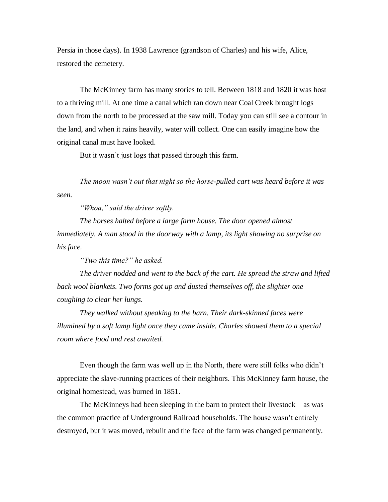Persia in those days). In 1938 Lawrence (grandson of Charles) and his wife, Alice, restored the cemetery.

The McKinney farm has many stories to tell. Between 1818 and 1820 it was host to a thriving mill. At one time a canal which ran down near Coal Creek brought logs down from the north to be processed at the saw mill. Today you can still see a contour in the land, and when it rains heavily, water will collect. One can easily imagine how the original canal must have looked.

But it wasn't just logs that passed through this farm.

*The moon wasn't out that night so the horse-pulled cart was heard before it was seen.* 

*"Whoa," said the driver softly.* 

*The horses halted before a large farm house. The door opened almost immediately. A man stood in the doorway with a lamp, its light showing no surprise on his face.*

*"Two this time?" he asked.*

*The driver nodded and went to the back of the cart. He spread the straw and lifted back wool blankets. Two forms got up and dusted themselves off, the slighter one coughing to clear her lungs.* 

*They walked without speaking to the barn. Their dark-skinned faces were illumined by a soft lamp light once they came inside. Charles showed them to a special room where food and rest awaited.* 

Even though the farm was well up in the North, there were still folks who didn't appreciate the slave-running practices of their neighbors. This McKinney farm house, the original homestead, was burned in 1851.

The McKinneys had been sleeping in the barn to protect their livestock – as was the common practice of Underground Railroad households. The house wasn't entirely destroyed, but it was moved, rebuilt and the face of the farm was changed permanently.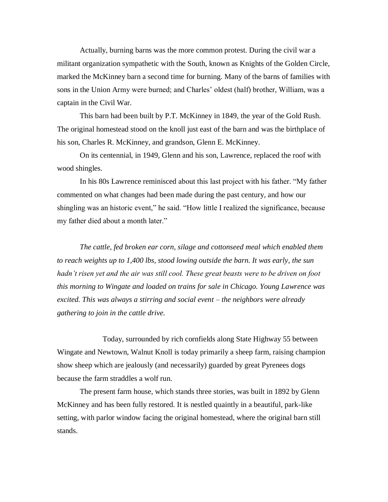Actually, burning barns was the more common protest. During the civil war a militant organization sympathetic with the South, known as Knights of the Golden Circle, marked the McKinney barn a second time for burning. Many of the barns of families with sons in the Union Army were burned; and Charles' oldest (half) brother, William, was a captain in the Civil War.

This barn had been built by P.T. McKinney in 1849, the year of the Gold Rush. The original homestead stood on the knoll just east of the barn and was the birthplace of his son, Charles R. McKinney, and grandson, Glenn E. McKinney.

On its centennial, in 1949, Glenn and his son, Lawrence, replaced the roof with wood shingles.

In his 80s Lawrence reminisced about this last project with his father. "My father commented on what changes had been made during the past century, and how our shingling was an historic event," he said. "How little I realized the significance, because my father died about a month later."

*The cattle, fed broken ear corn, silage and cottonseed meal which enabled them to reach weights up to 1,400 lbs, stood lowing outside the barn. It was early, the sun hadn't risen yet and the air was still cool. These great beasts were to be driven on foot this morning to Wingate and loaded on trains for sale in Chicago. Young Lawrence was excited. This was always a stirring and social event – the neighbors were already gathering to join in the cattle drive.* 

Today, surrounded by rich cornfields along State Highway 55 between Wingate and Newtown, Walnut Knoll is today primarily a sheep farm, raising champion show sheep which are jealously (and necessarily) guarded by great Pyrenees dogs because the farm straddles a wolf run.

The present farm house, which stands three stories, was built in 1892 by Glenn McKinney and has been fully restored. It is nestled quaintly in a beautiful, park-like setting, with parlor window facing the original homestead, where the original barn still stands.